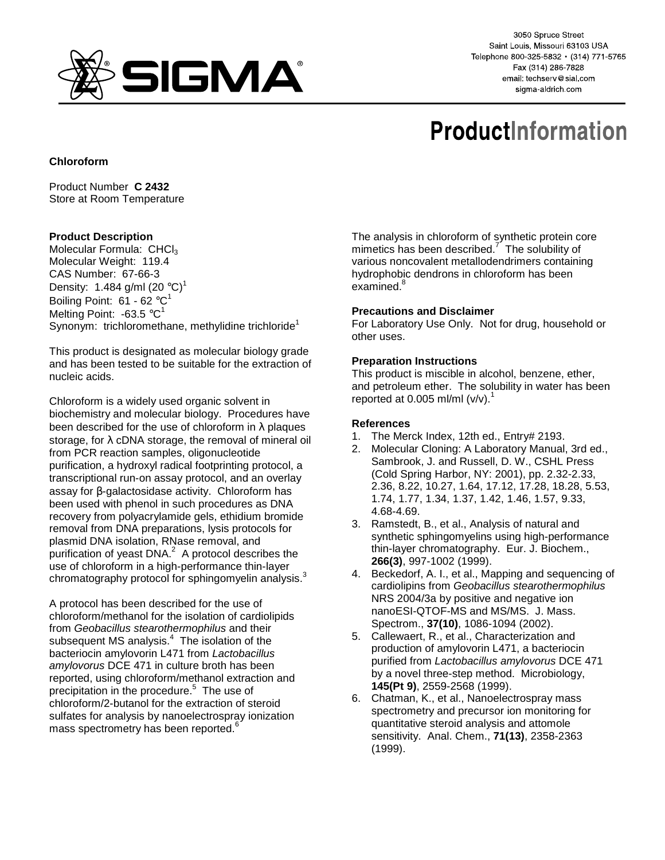

3050 Spruce Street Saint Louis, Missouri 63103 USA Telephone 800-325-5832 · (314) 771-5765 Fax (314) 286-7828 email: techserv@sial.com sigma-aldrich.com

# **ProductInformation**

## **Chloroform**

Product Number **C 2432** Store at Room Temperature

## **Product Description**

Molecular Formula: CHCl3 Molecular Weight: 119.4 CAS Number: 67-66-3 Density: 1.484 g/ml  $(20 °C)^1$ Boiling Point:  $61 - 62 °C^1$ Melting Point: -63.5  $^{\circ}C^{1}$ Synonym: trichloromethane, methylidine trichloride<sup>1</sup>

This product is designated as molecular biology grade and has been tested to be suitable for the extraction of nucleic acids.

Chloroform is a widely used organic solvent in biochemistry and molecular biology. Procedures have been described for the use of chloroform in  $\lambda$  plaques storage, for  $\lambda$  cDNA storage, the removal of mineral oil from PCR reaction samples, oligonucleotide purification, a hydroxyl radical footprinting protocol, a transcriptional run-on assay protocol, and an overlay assay for β-galactosidase activity. Chloroform has been used with phenol in such procedures as DNA recovery from polyacrylamide gels, ethidium bromide removal from DNA preparations, lysis protocols for plasmid DNA isolation, RNase removal, and purification of yeast DNA.<sup>2</sup> A protocol describes the use of chloroform in a high-performance thin-layer chromatography protocol for sphingomyelin analysis.<sup>3</sup>

A protocol has been described for the use of chloroform/methanol for the isolation of cardiolipids from Geobacillus stearothermophilus and their subsequent MS analysis. $4$  The isolation of the bacteriocin amylovorin L471 from Lactobacillus amylovorus DCE 471 in culture broth has been reported, using chloroform/methanol extraction and precipitation in the procedure.<sup>5</sup> The use of chloroform/2-butanol for the extraction of steroid sulfates for analysis by nanoelectrospray ionization mass spectrometry has been reported.<sup>6</sup>

The analysis in chloroform of synthetic protein core mimetics has been described.<sup>7</sup> The solubility of various noncovalent metallodendrimers containing hydrophobic dendrons in chloroform has been examined.<sup>8</sup>

### **Precautions and Disclaimer**

For Laboratory Use Only. Not for drug, household or other uses.

### **Preparation Instructions**

This product is miscible in alcohol, benzene, ether, and petroleum ether. The solubility in water has been reported at 0.005 ml/ml  $(v/v)$ .<sup>1</sup>

#### **References**

- 1. The Merck Index, 12th ed., Entry# 2193.
- 2. Molecular Cloning: A Laboratory Manual, 3rd ed., Sambrook, J. and Russell, D. W., CSHL Press (Cold Spring Harbor, NY: 2001), pp. 2.32-2.33, 2.36, 8.22, 10.27, 1.64, 17.12, 17.28, 18.28, 5.53, 1.74, 1.77, 1.34, 1.37, 1.42, 1.46, 1.57, 9.33, 4.68-4.69.
- 3. Ramstedt, B., et al., Analysis of natural and synthetic sphingomyelins using high-performance thin-layer chromatography. Eur. J. Biochem., **266(3)**, 997-1002 (1999).
- 4. Beckedorf, A. I., et al., Mapping and sequencing of cardiolipins from Geobacillus stearothermophilus NRS 2004/3a by positive and negative ion nanoESI-QTOF-MS and MS/MS. J. Mass. Spectrom., **37(10)**, 1086-1094 (2002).
- 5. Callewaert, R., et al., Characterization and production of amylovorin L471, a bacteriocin purified from Lactobacillus amylovorus DCE 471 by a novel three-step method. Microbiology, **145(Pt 9)**, 2559-2568 (1999).
- 6. Chatman, K., et al., Nanoelectrospray mass spectrometry and precursor ion monitoring for quantitative steroid analysis and attomole sensitivity. Anal. Chem., **71(13)**, 2358-2363 (1999).